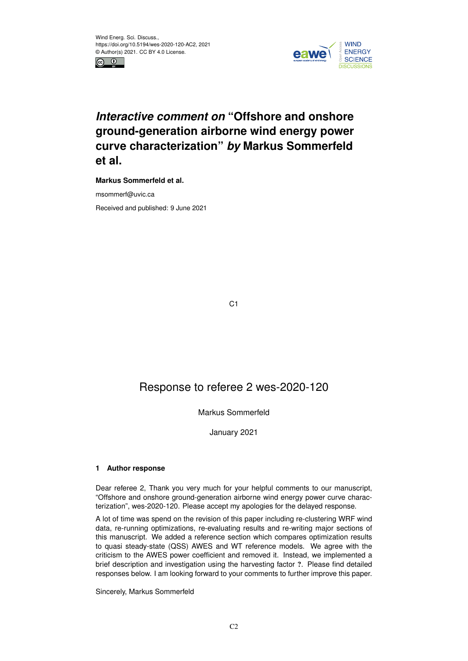



# *Interactive comment on* **"Offshore and onshore ground-generation airborne wind energy power curve characterization"** *by* **Markus Sommerfeld et al.**

**Markus Sommerfeld et al.**

msommerf@uvic.ca

Received and published: 9 June 2021

C<sub>1</sub>

## Response to referee 2 wes-2020-120

### Markus Sommerfeld

January 2021

#### **1 Author response**

Dear referee 2, Thank you very much for your helpful comments to our manuscript, "Offshore and onshore ground-generation airborne wind energy power curve characterization", wes-2020-120. Please accept my apologies for the delayed response.

A lot of time was spend on the revision of this paper including re-clustering WRF wind data, re-running optimizations, re-evaluating results and re-writing major sections of this manuscript. We added a reference section which compares optimization results to quasi steady-state (QSS) AWES and WT reference models. We agree with the criticism to the AWES power coefficient and removed it. Instead, we implemented a brief description and investigation using the harvesting factor ?. Please find detailed responses below. I am looking forward to your comments to further improve this paper.

#### Sincerely, Markus Sommerfeld